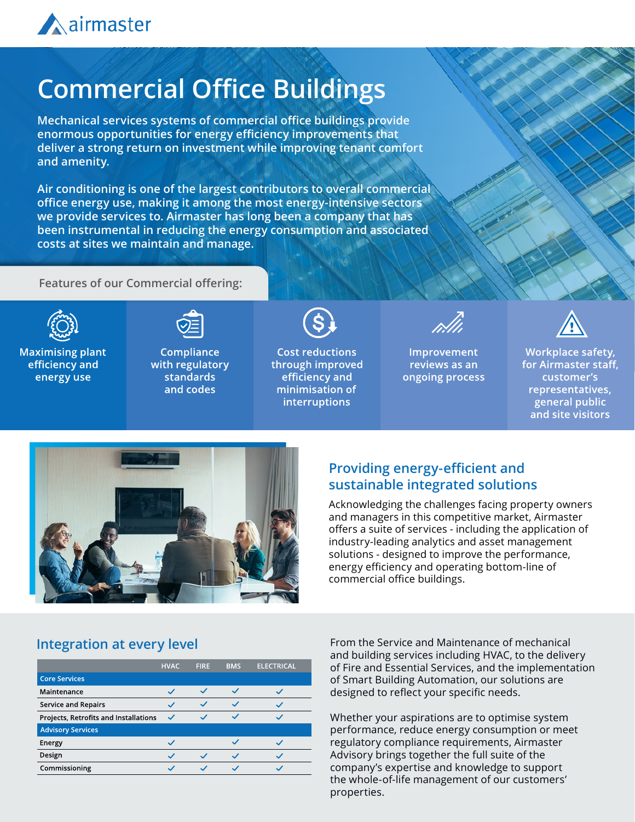

## **Commercial Office Buildings**

**Mechanical services systems of commercial office buildings provide enormous opportunities for energy efficiency improvements that deliver a strong return on investment while improving tenant comfort and amenity.**

**Air conditioning is one of the largest contributors to overall commercial office energy use, making it among the most energy-intensive sectors we provide services to. Airmaster has long been a company that has been instrumental in reducing the energy consumption and associated costs at sites we maintain and manage.**

**Features of our Commercial offering:** 



**Maximising plant** efficiency and energy use



**Compliance** with regulatory **standards** and codes



**Cost reductions** through improved efficiency and minimisation of **interruptions** 



Improvement reviews as an ongoing process



Workplace safety, for Airmaster staff, customer's representatives, general public and site visitors



#### **Providing energy-efficient and sustainable integrated solutions**

Acknowledging the challenges facing property owners and managers in this competitive market, Airmaster offers a suite of services - including the application of industry-leading analytics and asset management solutions - designed to improve the performance, energy efficiency and operating bottom-line of commercial office buildings.

#### **Integration at every level**

|                                       | <b>HVAC</b>              | <b>FIRE</b> | <b>BMS</b>   | <b>ELECTRICAL</b> |
|---------------------------------------|--------------------------|-------------|--------------|-------------------|
| <b>Core Services</b>                  |                          |             |              |                   |
| Maintenance                           | k.                       |             | $\checkmark$ |                   |
| <b>Service and Repairs</b>            | ŵ                        |             |              |                   |
| Projects, Retrofits and Installations |                          |             |              |                   |
| <b>Advisory Services</b>              |                          |             |              |                   |
| Energy                                | k.                       |             |              |                   |
| Design                                | $\overline{\phantom{a}}$ |             | k.           |                   |
| Commissioning                         |                          |             |              |                   |

From the Service and Maintenance of mechanical and building services including HVAC, to the delivery of Fire and Essential Services, and the implementation of Smart Building Automation, our solutions are designed to reflect your specific needs.

Whether your aspirations are to optimise system performance, reduce energy consumption or meet regulatory compliance requirements, Airmaster Advisory brings together the full suite of the company's expertise and knowledge to support the whole-of-life management of our customers' properties.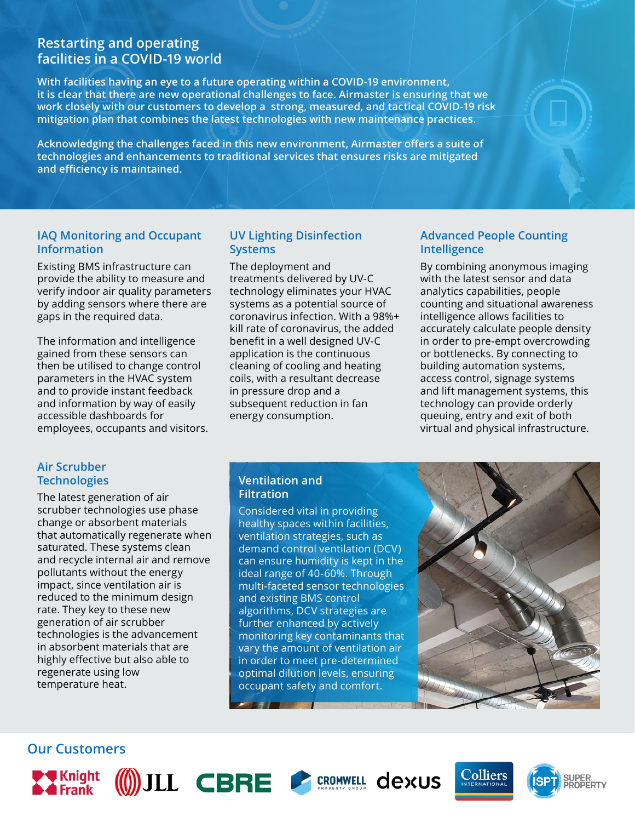#### **Restarting and operating facilities in a COVID-19 world**

**With facilities having an eye to a future operating within a COVID-19 environment, it is clear that there are new operational challenges to face. Airmaster is ensuring that we work closely with our customers to develop a strong, measured, and tactical COVID-19 risk mitigation plan that combines the latest technologies with new maintenance practices.**

**Acknowledging the challenges faced in this new environment, Airmaster offers a suite of technologies and enhancements to traditional services that ensures risks are mitigated and efficiency is maintained.**

#### **IAQ Monitoring and Occupant Information**

Existing BMS infrastructure can provide the ability to measure and verify indoor air quality parameters by adding sensors where there are gaps in the required data.

The information and intelligence gained from these sensors can then be utilised to change control parameters in the HVAC system and to provide instant feedback and information by way of easily accessible dashboards for employees, occupants and visitors.

#### **UV Lighting Disinfection Systems**

The deployment and treatments delivered by UV-C technology eliminates your HVAC systems as a potential source of coronavirus infection. With a 98%+ kill rate of coronavirus, the added benefit in a well designed UV-C application is the continuous cleaning of cooling and heating coils, with a resultant decrease in pressure drop and a subsequent reduction in fan energy consumption.

#### **Advanced People Counting Intelligence**

By combining anonymous imaging with the latest sensor and data analytics capabilities, people counting and situational awareness intelligence allows facilities to accurately calculate people density in order to pre-empt overcrowding or bottlenecks. By connecting to building automation systems, access control, signage systems and lift management systems, this technology can provide orderly queuing, entry and exit of both virtual and physical infrastructure.

#### **Air Scrubber Technologies**

The latest generation of air scrubber technologies use phase change or absorbent materials that automatically regenerate when saturated. These systems clean and recycle internal air and remove pollutants without the energy impact, since ventilation air is reduced to the minimum design rate. They key to these new generation of air scrubber technologies is the advancement in absorbent materials that are highly effective but also able to regenerate using low temperature heat.

#### **Ventilation and Filtration**

Considered vital in providing healthy spaces within facilities, ventilation strategies, such as demand control ventilation (DCV) can ensure humidity is kept in the ideal range of 40-60%. Through multi-faceted sensor technologies and existing BMS control algorithms, DCV strategies are further enhanced by actively monitoring key contaminants that vary the amount of ventilation air in order to meet pre-determined optimal dilution levels, ensuring occupant safety and comfort.



# **Colliers**



**Our Customers**